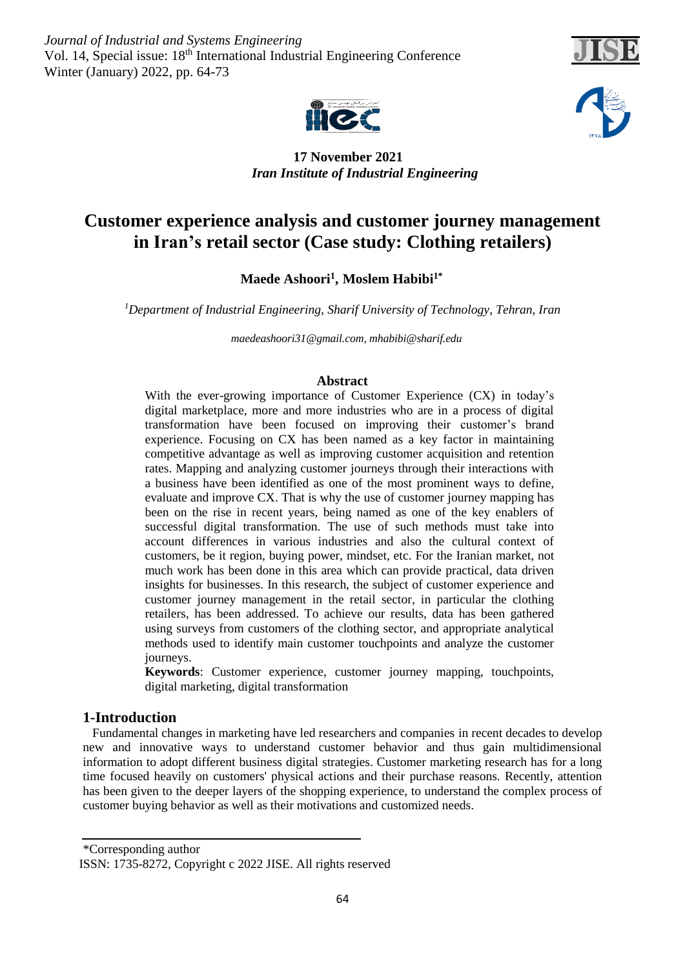*Journal of Industrial and Systems Engineering* Vol. 14, Special issue: 18<sup>th</sup> International Industrial Engineering Conference Winter (January) 2022, pp. 64-73





 **17 November 2021** *Iran Institute of Industrial Engineering* 

# **Customer experience analysis and customer journey management in Iran's retail sector (Case study: Clothing retailers)**

**Moslem Habibi1\* , Maede Ashoori<sup>1</sup>**

*Department of Industrial Engineering, Sharif University of Technology, Tehran, Iran <sup>1</sup>*

 *[maedeashoori31@gmail.com,](mailto:maedeashoori31@gmail.com) mhabibi@sharif.edu*

# **Abstract**

With the ever-growing importance of Customer Experience (CX) in today's digital marketplace, more and more industries who are in a process of digital transformation have been focused on improving their customer's brand experience. Focusing on CX has been named as a key factor in maintaining competitive advantage as well as improving customer acquisition and retention rates. Mapping and analyzing customer journeys through their interactions with a business have been identified as one of the most prominent ways to define, evaluate and improve CX. That is why the use of customer journey mapping has been on the rise in recent years, being named as one of the key enablers of successful digital transformation. The use of such methods must take into account differences in various industries and also the cultural context of customers, be it region, buying power, mindset, etc. For the Iranian market, not much work has been done in this area which can provide practical, data driven insights for businesses. In this research, the subject of customer experience and customer journey management in the retail sector, in particular the clothing retailers, has been addressed. To achieve our results, data has been gathered using surveys from customers of the clothing sector, and appropriate analytical methods used to identify main customer touchpoints and analyze the customer journeys.

**Keywords**: Customer experience, customer journey mapping, touchpoints, digital marketing, digital transformation

# **1-Introduction**

 Fundamental changes in marketing have led researchers and companies in recent decades to develop new and innovative ways to understand customer behavior and thus gain multidimensional information to adopt different business digital strategies. Customer marketing research has for a long time focused heavily on customers' physical actions and their purchase reasons. Recently, attention has been given to the deeper layers of the shopping experience, to understand the complex process of customer buying behavior as well as their motivations and customized needs.

\*Corresponding author

ISSN: 1735-8272, Copyright c 2022 JISE. All rights reserved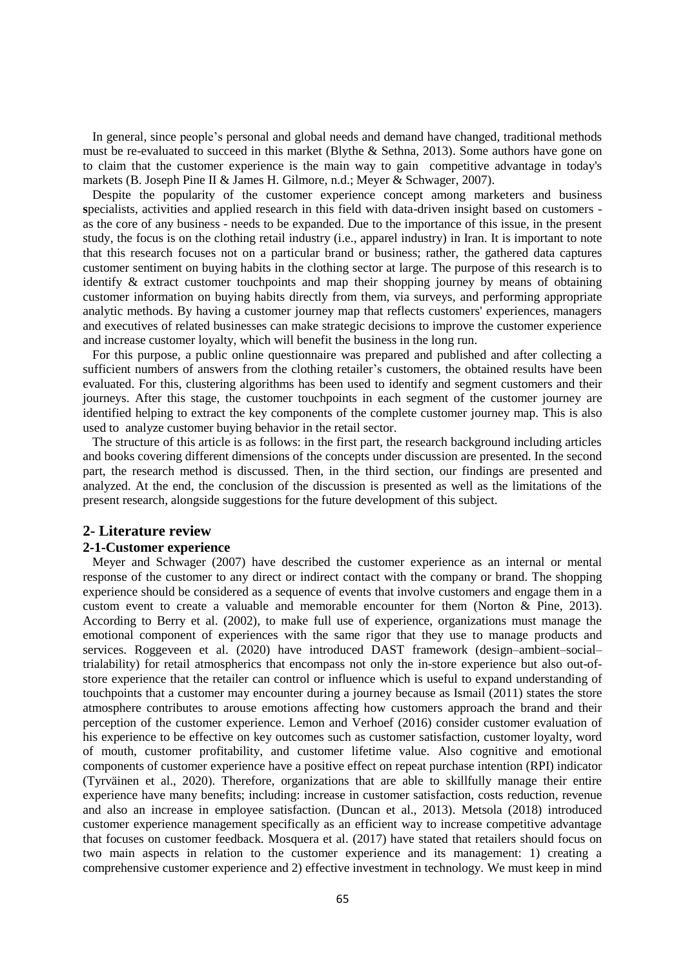In general, since people's personal and global needs and demand have changed, traditional methods must be re-evaluated to succeed in this market (Blythe & Sethna, 2013). Some authors have gone on to claim that the customer experience is the main way to gain competitive advantage in today's markets (B. Joseph Pine II & James H. Gilmore, n.d.; Meyer & Schwager, 2007).

 Despite the popularity of the customer experience concept among marketers and business **s**pecialists, activities and applied research in this field with data-driven insight based on customers as the core of any business - needs to be expanded. Due to the importance of this issue, in the present study, the focus is on the clothing retail industry (i.e., apparel industry) in Iran. It is important to note that this research focuses not on a particular brand or business; rather, the gathered data captures customer sentiment on buying habits in the clothing sector at large. The purpose of this research is to identify & extract customer touchpoints and map their shopping journey by means of obtaining customer information on buying habits directly from them, via surveys, and performing appropriate analytic methods. By having a customer journey map that reflects customers' experiences, managers and executives of related businesses can make strategic decisions to improve the customer experience and increase customer loyalty, which will benefit the business in the long run.

 For this purpose, a public online questionnaire was prepared and published and after collecting a sufficient numbers of answers from the clothing retailer's customers, the obtained results have been evaluated. For this, clustering algorithms has been used to identify and segment customers and their journeys. After this stage, the customer touchpoints in each segment of the customer journey are identified helping to extract the key components of the complete customer journey map. This is also used to analyze customer buying behavior in the retail sector.

 The structure of this article is as follows: in the first part, the research background including articles and books covering different dimensions of the concepts under discussion are presented. In the second part, the research method is discussed. Then, in the third section, our findings are presented and analyzed. At the end, the conclusion of the discussion is presented as well as the limitations of the present research, alongside suggestions for the future development of this subject.

### **2- Literature review**

#### **2-1-Customer experience**

 Meyer and Schwager (2007) have described the customer experience as an internal or mental response of the customer to any direct or indirect contact with the company or brand. The shopping experience should be considered as a sequence of events that involve customers and engage them in a custom event to create a valuable and memorable encounter for them (Norton & Pine, 2013). According to Berry et al. (2002), to make full use of experience, organizations must manage the emotional component of experiences with the same rigor that they use to manage products and services. Roggeveen et al. (2020) have introduced DAST framework (design–ambient–social– trialability) for retail atmospherics that encompass not only the in-store experience but also out-ofstore experience that the retailer can control or influence which is useful to expand understanding of touchpoints that a customer may encounter during a journey because as Ismail (2011) states the store atmosphere contributes to arouse emotions affecting how customers approach the brand and their perception of the customer experience. Lemon and Verhoef (2016) consider customer evaluation of his experience to be effective on key outcomes such as customer satisfaction, customer loyalty, word of mouth, customer profitability, and customer lifetime value. Also cognitive and emotional components of customer experience have a positive effect on repeat purchase intention (RPI) indicator (Tyrväinen et al., 2020). Therefore, organizations that are able to skillfully manage their entire experience have many benefits; including: increase in customer satisfaction, costs reduction, revenue and also an increase in employee satisfaction. (Duncan et al., 2013). Metsola (2018) introduced customer experience management specifically as an efficient way to increase competitive advantage that focuses on customer feedback. Mosquera et al. (2017) have stated that retailers should focus on two main aspects in relation to the customer experience and its management: 1) creating a comprehensive customer experience and 2) effective investment in technology. We must keep in mind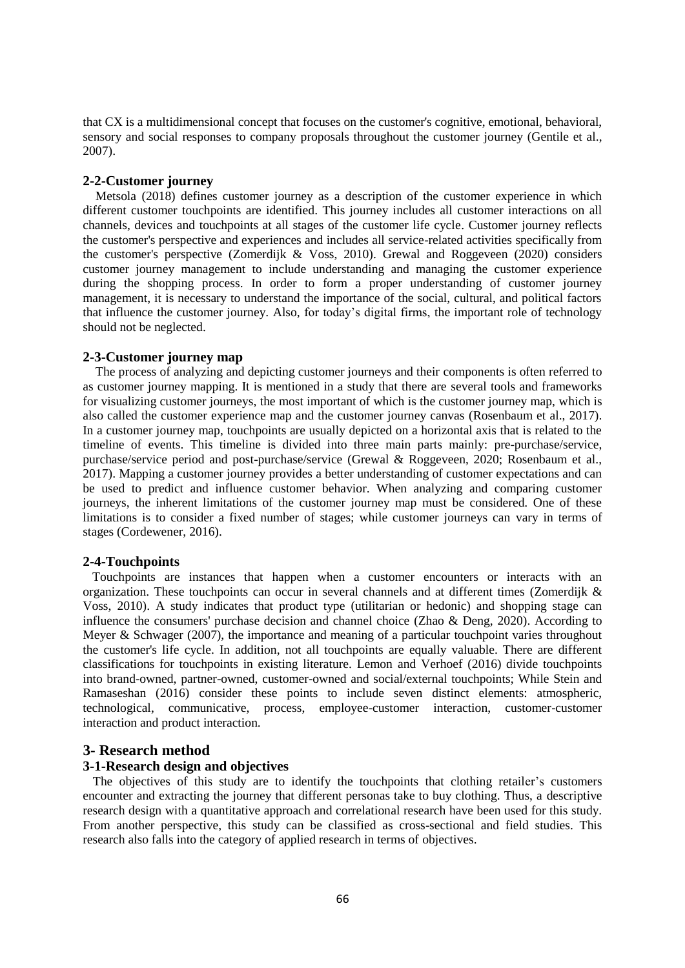that CX is a multidimensional concept that focuses on the customer's cognitive, emotional, behavioral, sensory and social responses to company proposals throughout the customer journey (Gentile et al., 2007).

## **2-2-Customer journey**

Metsola (2018) defines customer journey as a description of the customer experience in which different customer touchpoints are identified. This journey includes all customer interactions on all channels, devices and touchpoints at all stages of the customer life cycle. Customer journey reflects the customer's perspective and experiences and includes all service-related activities specifically from the customer's perspective (Zomerdijk & Voss, 2010). Grewal and Roggeveen (2020) considers customer journey management to include understanding and managing the customer experience during the shopping process. In order to form a proper understanding of customer journey management, it is necessary to understand the importance of the social, cultural, and political factors that influence the customer journey. Also, for today's digital firms, the important role of technology should not be neglected.

# **2-3-Customer journey map**

The process of analyzing and depicting customer journeys and their components is often referred to as customer journey mapping. It is mentioned in a study that there are several tools and frameworks for visualizing customer journeys, the most important of which is the customer journey map, which is also called the customer experience map and the customer journey canvas (Rosenbaum et al., 2017). In a customer journey map, touchpoints are usually depicted on a horizontal axis that is related to the timeline of events. This timeline is divided into three main parts mainly: pre-purchase/service, purchase/service period and post-purchase/service (Grewal & Roggeveen, 2020; Rosenbaum et al., 2017). Mapping a customer journey provides a better understanding of customer expectations and can be used to predict and influence customer behavior. When analyzing and comparing customer journeys, the inherent limitations of the customer journey map must be considered. One of these limitations is to consider a fixed number of stages; while customer journeys can vary in terms of stages (Cordewener, 2016).

### **2-4-Touchpoints**

 Touchpoints are instances that happen when a customer encounters or interacts with an organization. These touchpoints can occur in several channels and at different times (Zomerdijk & Voss, 2010). A study indicates that product type (utilitarian or hedonic) and shopping stage can influence the consumers' purchase decision and channel choice (Zhao & Deng, 2020). According to Meyer & Schwager (2007), the importance and meaning of a particular touchpoint varies throughout the customer's life cycle. In addition, not all touchpoints are equally valuable. There are different classifications for touchpoints in existing literature. Lemon and Verhoef (2016) divide touchpoints into brand-owned, partner-owned, customer-owned and social/external touchpoints; While Stein and Ramaseshan (2016) consider these points to include seven distinct elements: atmospheric, technological, communicative, process, employee-customer interaction, customer-customer interaction and product interaction.

# **3- Research method**

### **3-1-Research design and objectives**

The objectives of this study are to identify the touchpoints that clothing retailer's customers encounter and extracting the journey that different personas take to buy clothing. Thus, a descriptive research design with a quantitative approach and correlational research have been used for this study. From another perspective, this study can be classified as cross-sectional and field studies. This research also falls into the category of applied research in terms of objectives.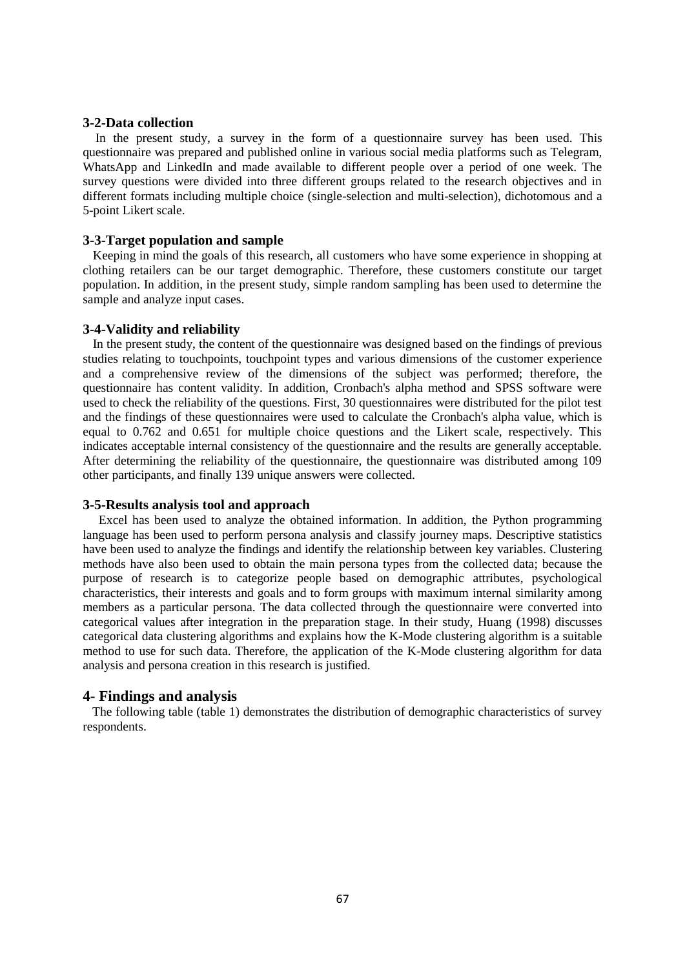#### **3-2-Data collection**

 In the present study, a survey in the form of a questionnaire survey has been used. This questionnaire was prepared and published online in various social media platforms such as Telegram, WhatsApp and LinkedIn and made available to different people over a period of one week. The survey questions were divided into three different groups related to the research objectives and in different formats including multiple choice (single-selection and multi-selection), dichotomous and a 5-point Likert scale.

### **3-3-Target population and sample**

Keeping in mind the goals of this research, all customers who have some experience in shopping at clothing retailers can be our target demographic. Therefore, these customers constitute our target population. In addition, in the present study, simple random sampling has been used to determine the sample and analyze input cases.

#### **3-4-Validity and reliability**

In the present study, the content of the questionnaire was designed based on the findings of previous studies relating to touchpoints, touchpoint types and various dimensions of the customer experience and a comprehensive review of the dimensions of the subject was performed; therefore, the questionnaire has content validity. In addition, Cronbach's alpha method and SPSS software were used to check the reliability of the questions. First, 30 questionnaires were distributed for the pilot test and the findings of these questionnaires were used to calculate the Cronbach's alpha value, which is equal to 0.762 and 0.651 for multiple choice questions and the Likert scale, respectively. This indicates acceptable internal consistency of the questionnaire and the results are generally acceptable. After determining the reliability of the questionnaire, the questionnaire was distributed among 109 other participants, and finally 139 unique answers were collected.

#### **3-5-Results analysis tool and approach**

Excel has been used to analyze the obtained information. In addition, the Python programming language has been used to perform persona analysis and classify journey maps. Descriptive statistics have been used to analyze the findings and identify the relationship between key variables. Clustering methods have also been used to obtain the main persona types from the collected data; because the purpose of research is to categorize people based on demographic attributes, psychological characteristics, their interests and goals and to form groups with maximum internal similarity among members as a particular persona. The data collected through the questionnaire were converted into categorical values after integration in the preparation stage. In their study, Huang (1998) discusses categorical data clustering algorithms and explains how the K-Mode clustering algorithm is a suitable method to use for such data. Therefore, the application of the K-Mode clustering algorithm for data analysis and persona creation in this research is justified.

#### **4- Findings and analysis**

 The following table (table 1) demonstrates the distribution of demographic characteristics of survey respondents.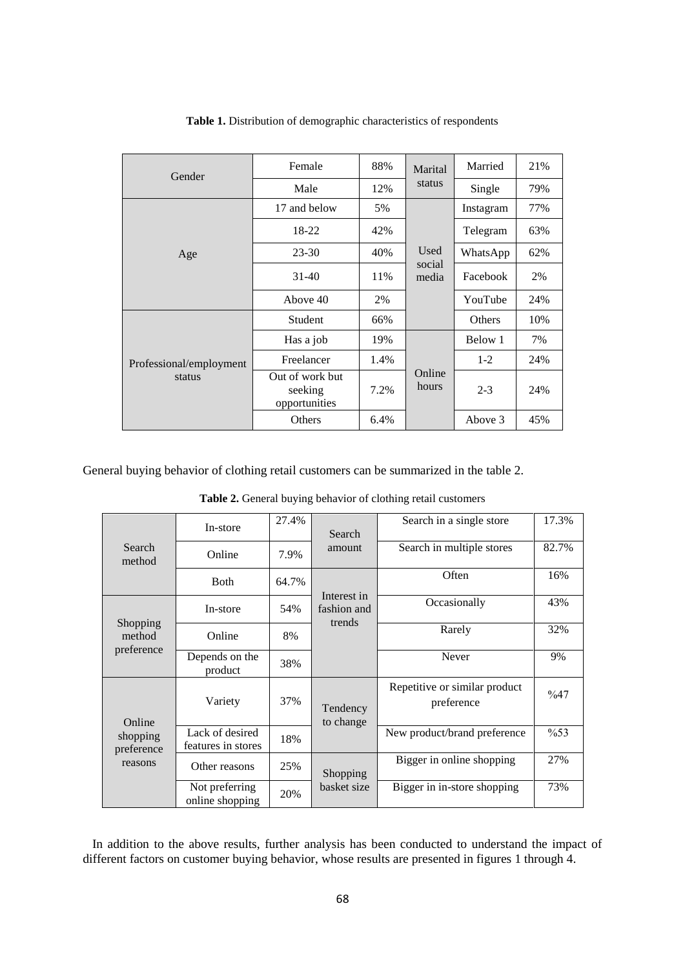| Gender                            | Female                                      | 88%                     | Marital         | Married   | 21% |
|-----------------------------------|---------------------------------------------|-------------------------|-----------------|-----------|-----|
|                                   | Male                                        | 12%                     | status          | Single    | 79% |
| Age                               | 17 and below                                | 5%                      |                 | Instagram | 77% |
|                                   | 18-22                                       | 42%                     |                 | Telegram  | 63% |
|                                   | $23 - 30$                                   | 40%                     | Used            | WhatsApp  | 62% |
|                                   | $31-40$                                     | 11%                     | social<br>media | Facebook  | 2%  |
|                                   | Above 40                                    | 2%                      |                 | YouTube   | 24% |
| Professional/employment<br>status | Student                                     | 66%                     |                 | Others    | 10% |
|                                   | Has a job                                   | 19%                     |                 | Below 1   | 7%  |
|                                   | Freelancer                                  | 1.4%                    |                 | $1-2$     | 24% |
|                                   | Out of work but<br>seeking<br>opportunities | Online<br>hours<br>7.2% |                 | $2 - 3$   | 24% |
|                                   | Others                                      | 6.4%                    |                 | Above 3   | 45% |

#### **Table 1.** Distribution of demographic characteristics of respondents

General buying behavior of clothing retail customers can be summarized in the table 2.

| Search<br>method                            | In-store                              | 27.4% | Search                     | Search in a single store                    | 17.3%  |
|---------------------------------------------|---------------------------------------|-------|----------------------------|---------------------------------------------|--------|
|                                             | Online                                | 7.9%  | amount                     | Search in multiple stores                   | 82.7%  |
|                                             | <b>B</b> oth                          | 64.7% |                            | Often                                       | 16%    |
| Shopping<br>method<br>preference            | In-store                              | 54%   | Interest in<br>fashion and | Occasionally                                | 43%    |
|                                             | Online                                | 8%    | trends                     | Rarely                                      | 32%    |
|                                             | Depends on the<br>product             | 38%   |                            | Never                                       | 9%     |
| Online<br>shopping<br>preference<br>reasons | Variety                               | 37%   | Tendency<br>to change      | Repetitive or similar product<br>preference | $\%47$ |
|                                             | Lack of desired<br>features in stores | 18%   |                            | New product/brand preference                | $\%53$ |
|                                             | Other reasons                         | 25%   | Shopping                   | Bigger in online shopping                   | 27%    |
|                                             | Not preferring<br>online shopping     | 20%   | basket size                | Bigger in in-store shopping                 | 73%    |

**Table 2.** General buying behavior of clothing retail customers

 In addition to the above results, further analysis has been conducted to understand the impact of different factors on customer buying behavior, whose results are presented in figures 1 through 4.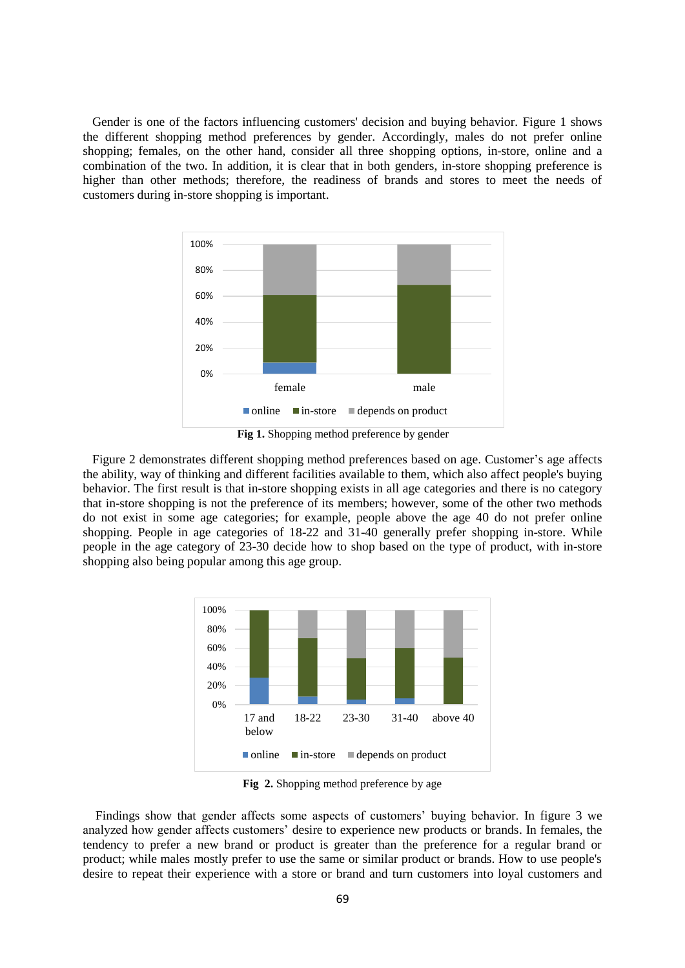Gender is one of the factors influencing customers' decision and buying behavior. Figure 1 shows the different shopping method preferences by gender. Accordingly, males do not prefer online shopping; females, on the other hand, consider all three shopping options, in-store, online and a combination of the two. In addition, it is clear that in both genders, in-store shopping preference is higher than other methods; therefore, the readiness of brands and stores to meet the needs of customers during in-store shopping is important.



**Fig 1.** Shopping method preference by gender

 Figure 2 demonstrates different shopping method preferences based on age. Customer's age affects the ability, way of thinking and different facilities available to them, which also affect people's buying behavior. The first result is that in-store shopping exists in all age categories and there is no category that in-store shopping is not the preference of its members; however, some of the other two methods do not exist in some age categories; for example, people above the age 40 do not prefer online shopping. People in age categories of 18-22 and 31-40 generally prefer shopping in-store. While people in the age category of 23-30 decide how to shop based on the type of product, with in-store shopping also being popular among this age group.



**Fig 2.** Shopping method preference by age

 Findings show that gender affects some aspects of customers' buying behavior. In figure 3 we analyzed how gender affects customers' desire to experience new products or brands. In females, the tendency to prefer a new brand or product is greater than the preference for a regular brand or product; while males mostly prefer to use the same or similar product or brands. How to use people's desire to repeat their experience with a store or brand and turn customers into loyal customers and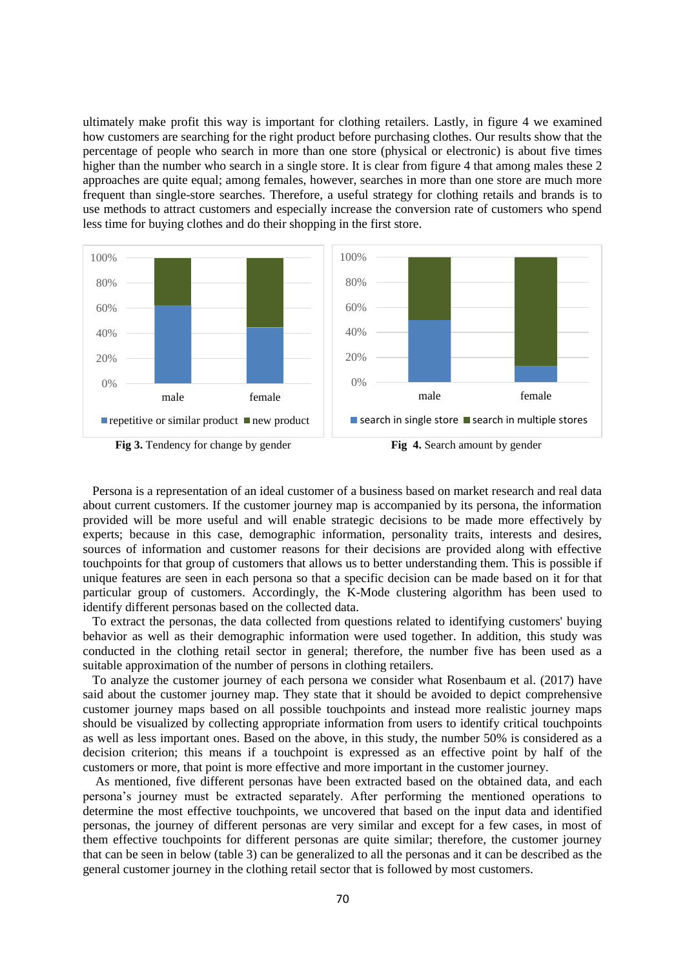ultimately make profit this way is important for clothing retailers. Lastly, in figure 4 we examined how customers are searching for the right product before purchasing clothes. Our results show that the percentage of people who search in more than one store (physical or electronic) is about five times higher than the number who search in a single store. It is clear from figure 4 that among males these 2 approaches are quite equal; among females, however, searches in more than one store are much more frequent than single-store searches. Therefore, a useful strategy for clothing retails and brands is to use methods to attract customers and especially increase the conversion rate of customers who spend less time for buying clothes and do their shopping in the first store.



 Persona is a representation of an ideal customer of a business based on market research and real data about current customers. If the customer journey map is accompanied by its persona, the information provided will be more useful and will enable strategic decisions to be made more effectively by experts; because in this case, demographic information, personality traits, interests and desires, sources of information and customer reasons for their decisions are provided along with effective touchpoints for that group of customers that allows us to better understanding them. This is possible if unique features are seen in each persona so that a specific decision can be made based on it for that particular group of customers. Accordingly, the K-Mode clustering algorithm has been used to identify different personas based on the collected data.

 To extract the personas, the data collected from questions related to identifying customers' buying behavior as well as their demographic information were used together. In addition, this study was conducted in the clothing retail sector in general; therefore, the number five has been used as a suitable approximation of the number of persons in clothing retailers.

 To analyze the customer journey of each persona we consider what Rosenbaum et al. (2017) have said about the customer journey map. They state that it should be avoided to depict comprehensive customer journey maps based on all possible touchpoints and instead more realistic journey maps should be visualized by collecting appropriate information from users to identify critical touchpoints as well as less important ones. Based on the above, in this study, the number 50% is considered as a decision criterion; this means if a touchpoint is expressed as an effective point by half of the customers or more, that point is more effective and more important in the customer journey.

 As mentioned, five different personas have been extracted based on the obtained data, and each persona's journey must be extracted separately. After performing the mentioned operations to determine the most effective touchpoints, we uncovered that based on the input data and identified personas, the journey of different personas are very similar and except for a few cases, in most of them effective touchpoints for different personas are quite similar; therefore, the customer journey that can be seen in below (table 3) can be generalized to all the personas and it can be described as the general customer journey in the clothing retail sector that is followed by most customers.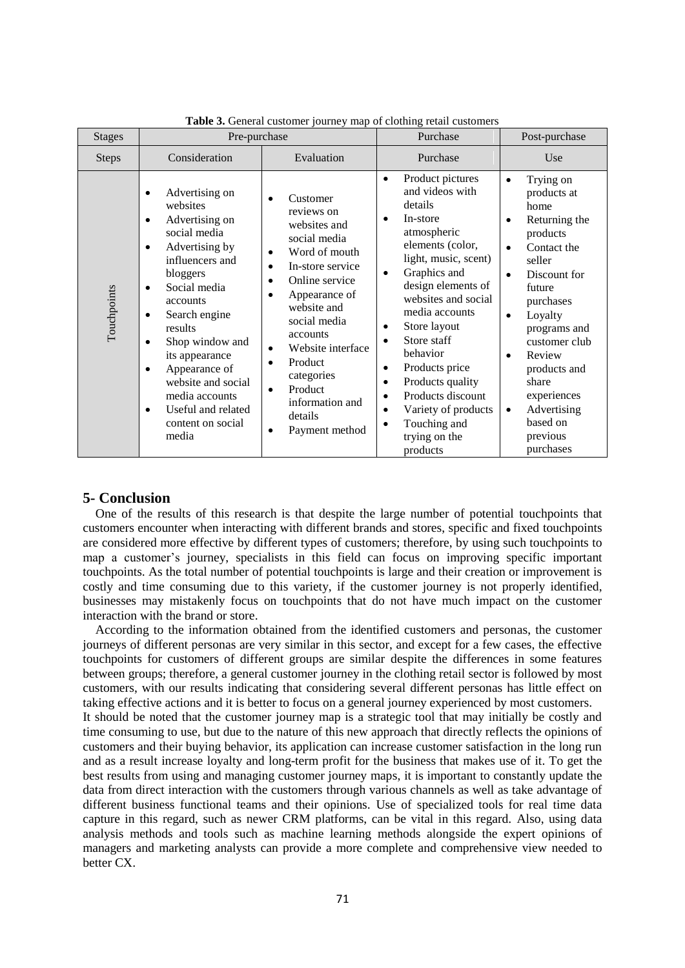| <b>Stages</b> | Pre-purchase                                                                                                                                                                                                                                                                                                                                                                                                    |                                                                                                                                                                                                                                                                                                                                                  | Purchase                                                                                                                                                                                                                                                                                                                                                                                                                                                                                                 | Post-purchase                                                                                                                                                                                                                                                                                                                       |  |
|---------------|-----------------------------------------------------------------------------------------------------------------------------------------------------------------------------------------------------------------------------------------------------------------------------------------------------------------------------------------------------------------------------------------------------------------|--------------------------------------------------------------------------------------------------------------------------------------------------------------------------------------------------------------------------------------------------------------------------------------------------------------------------------------------------|----------------------------------------------------------------------------------------------------------------------------------------------------------------------------------------------------------------------------------------------------------------------------------------------------------------------------------------------------------------------------------------------------------------------------------------------------------------------------------------------------------|-------------------------------------------------------------------------------------------------------------------------------------------------------------------------------------------------------------------------------------------------------------------------------------------------------------------------------------|--|
| <b>Steps</b>  | Consideration                                                                                                                                                                                                                                                                                                                                                                                                   | Evaluation                                                                                                                                                                                                                                                                                                                                       | Purchase                                                                                                                                                                                                                                                                                                                                                                                                                                                                                                 | Use                                                                                                                                                                                                                                                                                                                                 |  |
| Touchpoints   | Advertising on<br>٠<br>websites<br>Advertising on<br>٠<br>social media<br>Advertising by<br>$\bullet$<br>influencers and<br>bloggers<br>Social media<br>$\bullet$<br>accounts<br>Search engine<br>$\bullet$<br>results<br>Shop window and<br>$\bullet$<br>its appearance<br>Appearance of<br>$\bullet$<br>website and social<br>media accounts<br>Useful and related<br>$\bullet$<br>content on social<br>media | Customer<br>reviews on<br>websites and<br>social media<br>Word of mouth<br>٠<br>In-store service<br>$\bullet$<br>Online service<br>٠<br>Appearance of<br>website and<br>social media<br>accounts<br>Website interface<br>$\bullet$<br>Product<br>$\bullet$<br>categories<br>Product<br>$\bullet$<br>information and<br>details<br>Payment method | Product pictures<br>$\bullet$<br>and videos with<br>details<br>In-store<br>$\bullet$<br>atmospheric<br>elements (color,<br>light, music, scent)<br>Graphics and<br>$\bullet$<br>design elements of<br>websites and social<br>media accounts<br>Store layout<br>٠<br>Store staff<br>$\bullet$<br>behavior<br>Products price<br>$\bullet$<br>Products quality<br>$\bullet$<br>Products discount<br>$\bullet$<br>Variety of products<br>$\bullet$<br>Touching and<br>$\bullet$<br>trying on the<br>products | Trying on<br>$\bullet$<br>products at<br>home<br>Returning the<br>products<br>Contact the<br>seller<br>Discount for<br>$\bullet$<br>future<br>purchases<br>Loyalty<br>$\bullet$<br>programs and<br>customer club<br>Review<br>products and<br>share<br>experiences<br>Advertising<br>$\bullet$<br>based on<br>previous<br>purchases |  |

**Table 3.** General customer journey map of clothing retail customers

### **5- Conclusion**

 One of the results of this research is that despite the large number of potential touchpoints that customers encounter when interacting with different brands and stores, specific and fixed touchpoints are considered more effective by different types of customers; therefore, by using such touchpoints to map a customer's journey, specialists in this field can focus on improving specific important touchpoints. As the total number of potential touchpoints is large and their creation or improvement is costly and time consuming due to this variety, if the customer journey is not properly identified, businesses may mistakenly focus on touchpoints that do not have much impact on the customer interaction with the brand or store.

 According to the information obtained from the identified customers and personas, the customer journeys of different personas are very similar in this sector, and except for a few cases, the effective touchpoints for customers of different groups are similar despite the differences in some features between groups; therefore, a general customer journey in the clothing retail sector is followed by most customers, with our results indicating that considering several different personas has little effect on taking effective actions and it is better to focus on a general journey experienced by most customers. It should be noted that the customer journey map is a strategic tool that may initially be costly and time consuming to use, but due to the nature of this new approach that directly reflects the opinions of customers and their buying behavior, its application can increase customer satisfaction in the long run and as a result increase loyalty and long-term profit for the business that makes use of it. To get the best results from using and managing customer journey maps, it is important to constantly update the data from direct interaction with the customers through various channels as well as take advantage of different business functional teams and their opinions. Use of specialized tools for real time data capture in this regard, such as newer CRM platforms, can be vital in this regard. Also, using data analysis methods and tools such as machine learning methods alongside the expert opinions of managers and marketing analysts can provide a more complete and comprehensive view needed to better CX.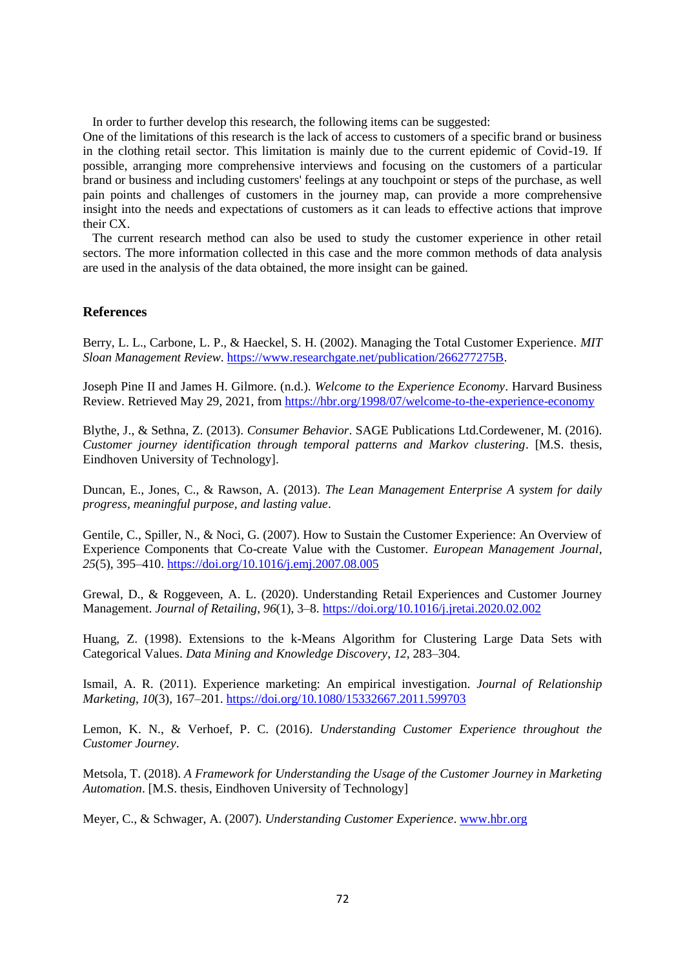In order to further develop this research, the following items can be suggested:

One of the limitations of this research is the lack of access to customers of a specific brand or business in the clothing retail sector. This limitation is mainly due to the current epidemic of Covid-19. If possible, arranging more comprehensive interviews and focusing on the customers of a particular brand or business and including customers' feelings at any touchpoint or steps of the purchase, as well pain points and challenges of customers in the journey map, can provide a more comprehensive insight into the needs and expectations of customers as it can leads to effective actions that improve their CX.

 The current research method can also be used to study the customer experience in other retail sectors. The more information collected in this case and the more common methods of data analysis are used in the analysis of the data obtained, the more insight can be gained.

#### **References**

Berry, L. L., Carbone, L. P., & Haeckel, S. H. (2002). Managing the Total Customer Experience. *MIT Sloan Management Review*. [https://www.researchgate.net/publication/266277275B.](https://www.researchgate.net/publication/266277275B)

Joseph Pine II and James H. Gilmore. (n.d.). *Welcome to the Experience Economy*. Harvard Business Review. Retrieved May 29, 2021, fro[m https://hbr.org/1998/07/welcome-to-the-experience-economy](https://hbr.org/1998/07/welcome-to-the-experience-economy)

Blythe, J., & Sethna, Z. (2013). *Consumer Behavior*. SAGE Publications Ltd.Cordewener, M. (2016). *Customer journey identification through temporal patterns and Markov clustering*. [M.S. thesis, Eindhoven University of Technology].

Duncan, E., Jones, C., & Rawson, A. (2013). *The Lean Management Enterprise A system for daily progress, meaningful purpose, and lasting value*.

Gentile, C., Spiller, N., & Noci, G. (2007). How to Sustain the Customer Experience: An Overview of Experience Components that Co-create Value with the Customer. *European Management Journal*, *25*(5), 395–410.<https://doi.org/10.1016/j.emj.2007.08.005>

Grewal, D., & Roggeveen, A. L. (2020). Understanding Retail Experiences and Customer Journey Management. *Journal of Retailing*, *96*(1), 3–8.<https://doi.org/10.1016/j.jretai.2020.02.002>

Huang, Z. (1998). Extensions to the k-Means Algorithm for Clustering Large Data Sets with Categorical Values. *Data Mining and Knowledge Discovery*, *12*, 283–304.

Ismail, A. R. (2011). Experience marketing: An empirical investigation. *Journal of Relationship Marketing*, *10*(3), 167–201[. https://doi.org/10.1080/15332667.2011.599703](https://doi.org/10.1080/15332667.2011.599703)

Lemon, K. N., & Verhoef, P. C. (2016). *Understanding Customer Experience throughout the Customer Journey*.

Metsola, T. (2018). *A Framework for Understanding the Usage of the Customer Journey in Marketing Automation*. [M.S. thesis, Eindhoven University of Technology]

Meyer, C., & Schwager, A. (2007). *Understanding Customer Experience*[. www.hbr.org](http://www.hbr.org/)